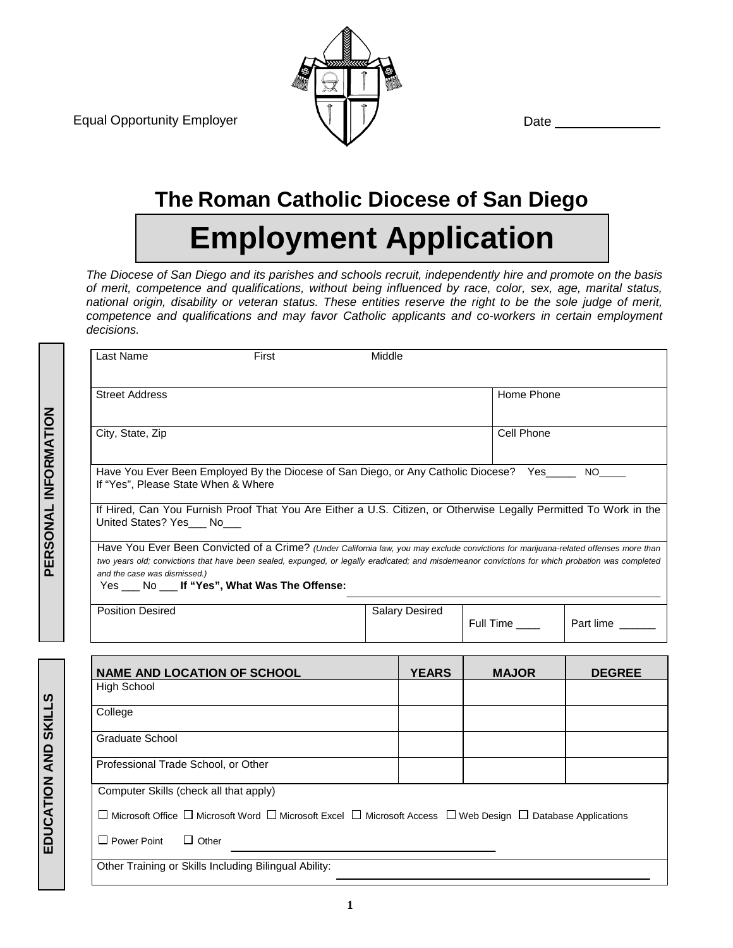Equal Opportunity Employer  $\bigcup$  |  $\bigcup$  Date



## **The Roman Catholic Diocese of San Diego**

# **Employment Application**

*The Diocese of San Diego and its parishes and schools recruit, independently hire and promote on the basis of merit, competence and qualifications, without being influenced by race, color, sex, age, marital status, national origin, disability or veteran status. These entities reserve the right to be the sole judge of merit, competence and qualifications and may favor Catholic applicants and co-workers in certain employment decisions.*

| Last Name<br>First                                                                                                                                                                                                                                                                                                                                                         | Middle |                       |              |                 |
|----------------------------------------------------------------------------------------------------------------------------------------------------------------------------------------------------------------------------------------------------------------------------------------------------------------------------------------------------------------------------|--------|-----------------------|--------------|-----------------|
| <b>Street Address</b>                                                                                                                                                                                                                                                                                                                                                      |        |                       | Home Phone   |                 |
| City, State, Zip                                                                                                                                                                                                                                                                                                                                                           |        |                       | Cell Phone   |                 |
| Have You Ever Been Employed By the Diocese of San Diego, or Any Catholic Diocese? Yes____<br>If "Yes", Please State When & Where                                                                                                                                                                                                                                           |        |                       |              | NO <sub>2</sub> |
| If Hired, Can You Furnish Proof That You Are Either a U.S. Citizen, or Otherwise Legally Permitted To Work in the<br>United States? Yes No                                                                                                                                                                                                                                 |        |                       |              |                 |
| Have You Ever Been Convicted of a Crime? (Under California law, you may exclude convictions for marijuana-related offenses more than<br>two years old; convictions that have been sealed, expunged, or legally eradicated; and misdemeanor convictions for which probation was completed<br>and the case was dismissed.)<br>Yes ___ No ___ If "Yes", What Was The Offense: |        |                       |              |                 |
| <b>Position Desired</b>                                                                                                                                                                                                                                                                                                                                                    |        | <b>Salary Desired</b> | Full Time    | Part lime       |
|                                                                                                                                                                                                                                                                                                                                                                            |        |                       |              |                 |
| <b>NAME AND LOCATION OF SCHOOL</b><br><b>High School</b>                                                                                                                                                                                                                                                                                                                   |        | <b>YEARS</b>          | <b>MAJOR</b> | <b>DEGREE</b>   |
|                                                                                                                                                                                                                                                                                                                                                                            |        |                       |              |                 |
| College                                                                                                                                                                                                                                                                                                                                                                    |        |                       |              |                 |
| <b>Graduate School</b>                                                                                                                                                                                                                                                                                                                                                     |        |                       |              |                 |
| Professional Trade School, or Other                                                                                                                                                                                                                                                                                                                                        |        |                       |              |                 |
|                                                                                                                                                                                                                                                                                                                                                                            |        |                       |              |                 |

 $\Box$  Power Point  $\Box$  Other

Other Training or Skills Including Bilingual Ability: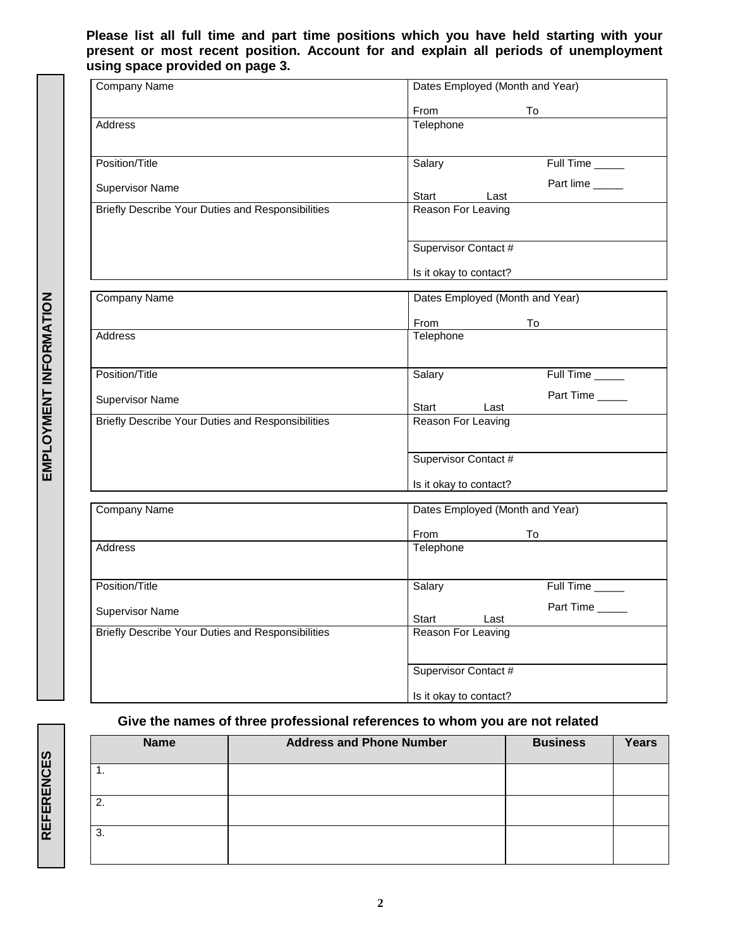#### **Please list all full time and part time positions which you have held starting with your present or most recent position. Account for and explain all periods of unemployment using space provided on page 3.**

| Company Name                                      | Dates Employed (Month and Year) |  |  |  |
|---------------------------------------------------|---------------------------------|--|--|--|
|                                                   | From<br>To                      |  |  |  |
| Address                                           | Telephone                       |  |  |  |
| Position/Title                                    | Salary<br>Full Time             |  |  |  |
|                                                   | Part lime                       |  |  |  |
| Supervisor Name                                   | Start<br>Last                   |  |  |  |
| Briefly Describe Your Duties and Responsibilities | Reason For Leaving              |  |  |  |
|                                                   | Supervisor Contact #            |  |  |  |
|                                                   | Is it okay to contact?          |  |  |  |
| Company Name                                      | Dates Employed (Month and Year) |  |  |  |
|                                                   | From<br>To                      |  |  |  |
| Address                                           | Telephone                       |  |  |  |
| Position/Title                                    | Salary<br>Full Time             |  |  |  |
| <b>Supervisor Name</b>                            | Part Time<br>Start<br>Last      |  |  |  |
| Briefly Describe Your Duties and Responsibilities | Reason For Leaving              |  |  |  |
|                                                   | Supervisor Contact #            |  |  |  |
|                                                   | Is it okay to contact?          |  |  |  |
| Company Name                                      | Dates Employed (Month and Year) |  |  |  |
|                                                   | From<br>To                      |  |  |  |
| Address                                           | Telephone                       |  |  |  |
| Position/Title                                    | Salary<br>Full Time             |  |  |  |
| <b>Supervisor Name</b>                            | Part Time                       |  |  |  |
|                                                   | Start<br>Last                   |  |  |  |
| Briefly Describe Your Duties and Responsibilities | Reason For Leaving              |  |  |  |
|                                                   | Supervisor Contact #            |  |  |  |
|                                                   | Is it okay to contact?          |  |  |  |

#### **Give the names of three professional references to whom you are not related**

| <b>Name</b> | <b>Address and Phone Number</b> | <b>Business</b> | <b>Years</b> |
|-------------|---------------------------------|-----------------|--------------|
|             |                                 |                 |              |
| 2.          |                                 |                 |              |
| 3.          |                                 |                 |              |

EMPLOYMENT INFORMATION **EMPLOYMENT INFORMATION**